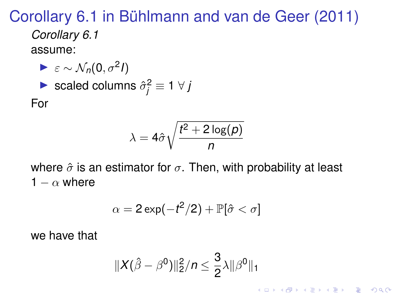Corollary 6.1 in Bühlmann and van de Geer (2011)

*Corollary 6.1* assume:

► 
$$
\varepsilon \sim \mathcal{N}_n(0, \sigma^2 I)
$$
  
\n► scaled columns  $\hat{\sigma}_j^2 \equiv 1 \ \forall \ J$   
\nFor

$$
\lambda=4\hat{\sigma}\sqrt{\frac{t^2+2\log(p)}{n}}
$$

where  $\hat{\sigma}$  is an estimator for  $\sigma$ . Then, with probability at least 1 –  $\alpha$  where

$$
\alpha = 2\exp(-t^2/2) + \mathbb{P}[\hat{\sigma} < \sigma]
$$

we have that

$$
||X(\hat{\beta}-\beta^0)||_2^2/n \leq \frac{3}{2}\lambda||\beta^0||_1
$$

K ロ ▶ K @ ▶ K 할 ▶ K 할 ▶ | 할 | K 9 Q Q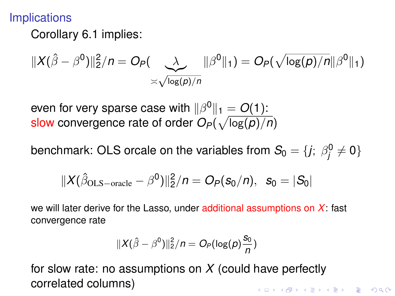## **Implications**

Corollary 6.1 implies:

$$
||X(\hat{\beta}-\beta^{0})||_{2}^{2}/n=O_{P}(\underbrace{\lambda}_{\asymp\sqrt{\log(p)/n}}||\beta^{0}||_{1})=O_{P}(\sqrt{\log(p)/n}||\beta^{0}||_{1})
$$

even for very sparse case with  $\|\beta^0\|_1 = O(1)$ : slow convergence rate of order  $O_P(\sqrt{\log(p)/n})$ 

benchmark: OLS orcale on the variables from  $\mathcal{S}_0 = \{ j ; \ \beta_j^0 \neq 0 \}$ 

$$
\|X(\hat{\beta}_{OLS - oracle} - \beta^0)\|_2^2/n = O_P(s_0/n), \ s_0 = |S_0|
$$

we will later derive for the Lasso, under additional assumptions on *X*: fast convergence rate

$$
||X(\hat{\beta}-\beta^0)||_2^2/n=O_P(\log(p)\frac{s_0}{n})
$$

for slow rate: no assumptions on *X* (could have perfectly correlated columns)KID KA KERKER E VOOR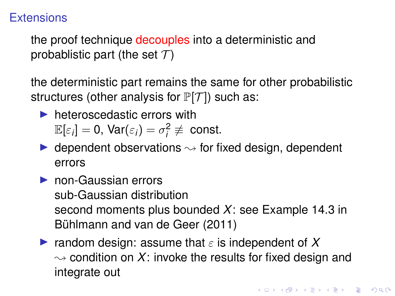## **Extensions**

the proof technique decouples into a deterministic and probablistic part (the set  $\mathcal{T}$ )

the deterministic part remains the same for other probabilistic structures (other analysis for  $\mathbb{P}[\mathcal{T}]$ ) such as:

- $\blacktriangleright$  heteroscedastic errors with  $\mathbb{E}[\varepsilon_i] = 0$ ,  $\text{Var}(\varepsilon_i) = \sigma_i^2 \not\equiv \text{ const.}$
- $\triangleright$  dependent observations  $\rightsquigarrow$  for fixed design, dependent errors
- $\triangleright$  non-Gaussian errors sub-Gaussian distribution second moments plus bounded *X*: see Example 14.3 in Bühlmann and van de Geer (2011)
- **If** random design: assume that  $\varepsilon$  is independent of X  $\rightsquigarrow$  condition on X: invoke the results for fixed design and integrate out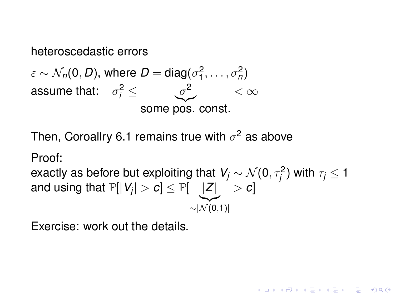## heteroscedastic errors

 $\varepsilon \sim \mathcal{N}_n(0,D)$ , where  $D = \text{diag}(\sigma_1^2,\ldots,\sigma_n^2)$ assume that:  $\sigma_i^2 \leq \sigma_j^2$ some pos. const.  $\alpha$ 

Then, Coroallry 6.1 remains true with  $\sigma^2$  as above

Proof:

exactly as before but exploiting that  $\mathit{V}_j \sim \mathcal{N}(0,\tau_j^2)$  with  $\tau_j \leq 1$ and using that  $\mathbb{P}[|V_j| > c] \le \mathbb{P}[| \bigcup |Z| \big] > c]$  $\sim$   $|\widetilde{\mathcal{N}(0,1)}|$ 

**KORK ERKER ADAM ADA** 

Exercise: work out the details.